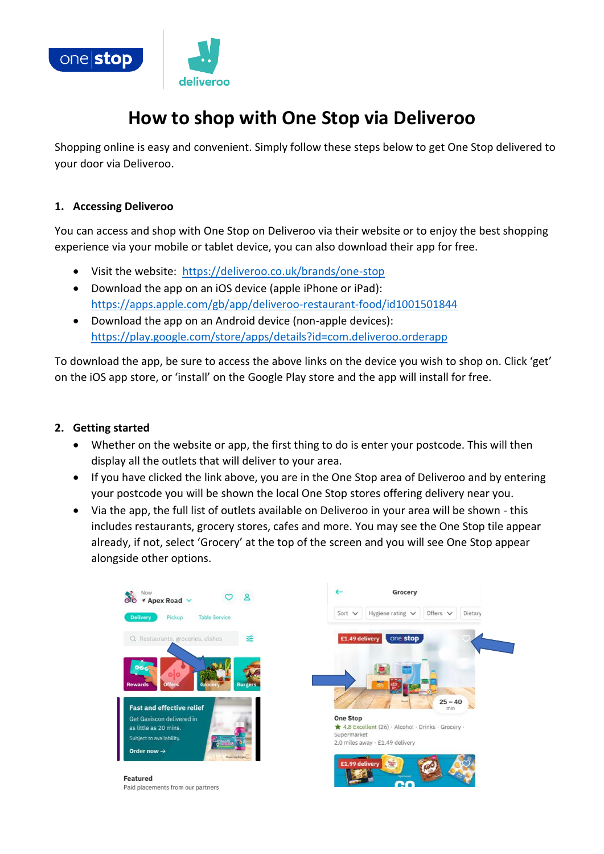

# **How to shop with One Stop via Deliveroo**

Shopping online is easy and convenient. Simply follow these steps below to get One Stop delivered to your door via Deliveroo.

#### **1. Accessing Deliveroo**

You can access and shop with One Stop on Deliveroo via their website or to enjoy the best shopping experience via your mobile or tablet device, you can also download their app for free.

- Visit the website: <https://deliveroo.co.uk/brands/one-stop>
- Download the app on an iOS device (apple iPhone or iPad): <https://apps.apple.com/gb/app/deliveroo-restaurant-food/id1001501844>
- Download the app on an Android device (non-apple devices): <https://play.google.com/store/apps/details?id=com.deliveroo.orderapp>

To download the app, be sure to access the above links on the device you wish to shop on. Click 'get' on the iOS app store, or 'install' on the Google Play store and the app will install for free.

### **2. Getting started**

- Whether on the website or app, the first thing to do is enter your postcode. This will then display all the outlets that will deliver to your area.
- If you have clicked the link above, you are in the One Stop area of Deliveroo and by entering your postcode you will be shown the local One Stop stores offering delivery near you.
- Via the app, the full list of outlets available on Deliveroo in your area will be shown this includes restaurants, grocery stores, cafes and more. You may see the One Stop tile appear already, if not, select 'Grocery' at the top of the screen and you will see One Stop appear alongside other options.

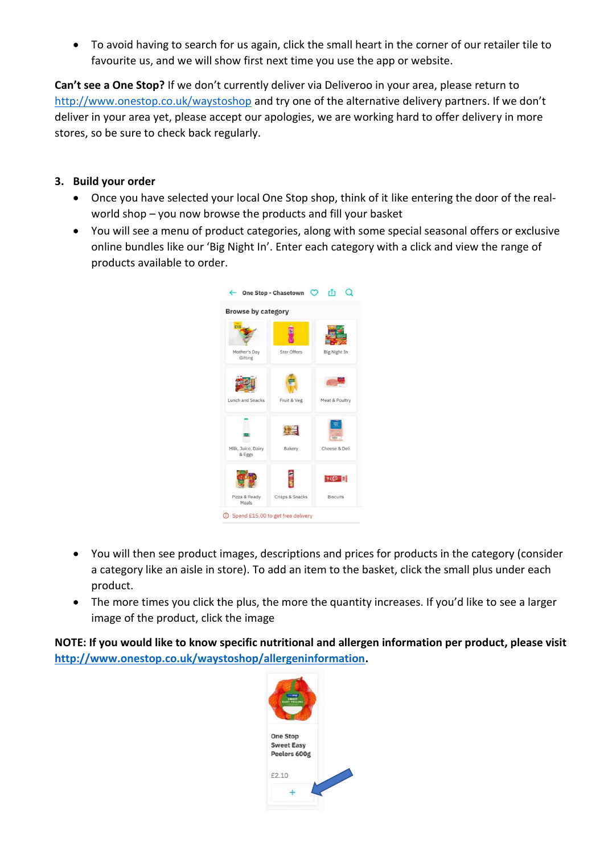• To avoid having to search for us again, click the small heart in the corner of our retailer tile to favourite us, and we will show first next time you use the app or website.

**Can't see a One Stop?** If we don't currently deliver via Deliveroo in your area, please return to <http://www.onestop.co.uk/waystoshop> and try one of the alternative delivery partners. If we don't deliver in your area yet, please accept our apologies, we are working hard to offer delivery in more stores, so be sure to check back regularly.

### **3. Build your order**

- Once you have selected your local One Stop shop, think of it like entering the door of the realworld shop – you now browse the products and fill your basket
- You will see a menu of product categories, along with some special seasonal offers or exclusive online bundles like our 'Big Night In'. Enter each category with a click and view the range of products available to order.



- You will then see product images, descriptions and prices for products in the category (consider a category like an aisle in store). To add an item to the basket, click the small plus under each product.
- The more times you click the plus, the more the quantity increases. If you'd like to see a larger image of the product, click the image

**NOTE: If you would like to know specific nutritional and allergen information per product, please visit [http://www.onestop.co.uk/waystoshop/allergeninformation.](http://www.onestop.co.uk/waystoshop/allergeninformation)** 

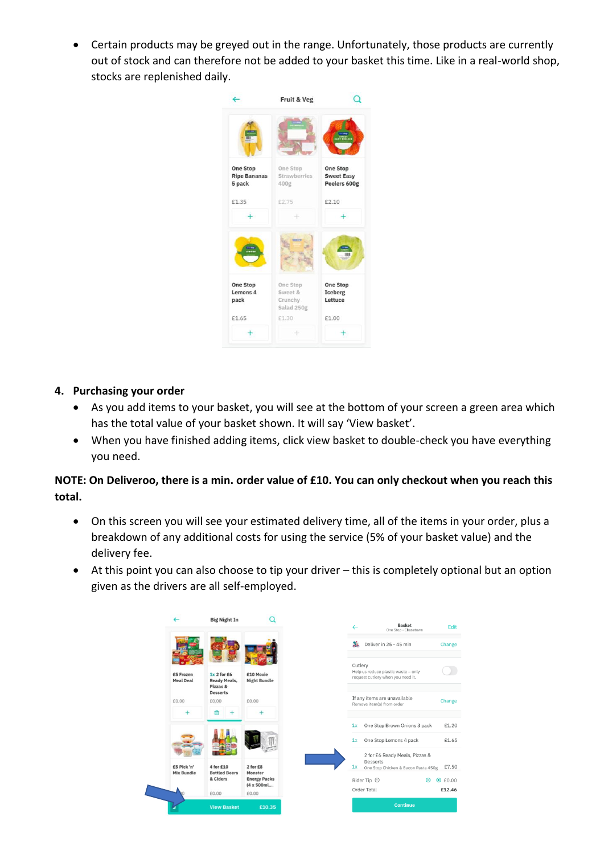• Certain products may be greyed out in the range. Unfortunately, those products are currently out of stock and can therefore not be added to your basket this time. Like in a real-world shop, stocks are replenished daily.



### **4. Purchasing your order**

- As you add items to your basket, you will see at the bottom of your screen a green area which has the total value of your basket shown. It will say 'View basket'.
- When you have finished adding items, click view basket to double-check you have everything you need.

## **NOTE: On Deliveroo, there is a min. order value of £10. You can only checkout when you reach this total.**

- On this screen you will see your estimated delivery time, all of the items in your order, plus a breakdown of any additional costs for using the service (5% of your basket value) and the delivery fee.
- At this point you can also choose to tip your driver this is completely optional but an option given as the drivers are all self-employed.

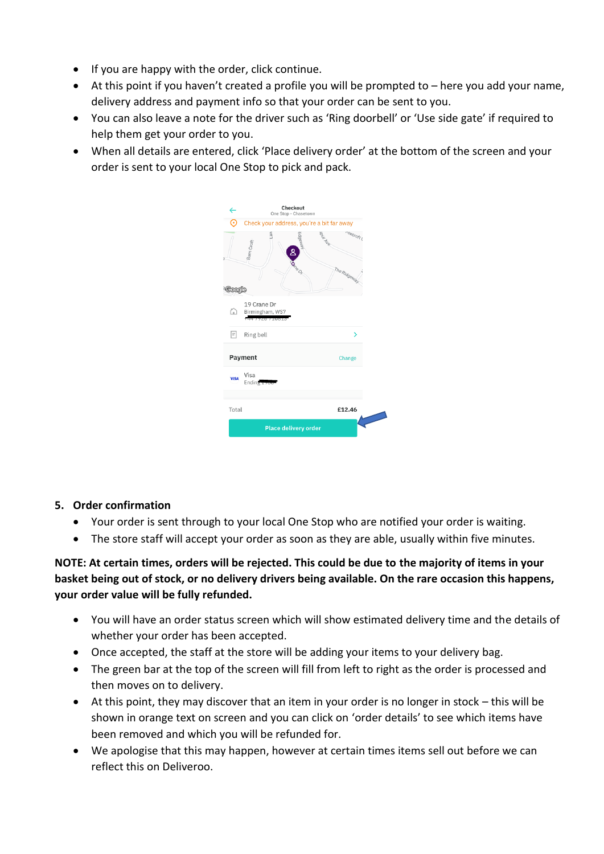- If you are happy with the order, click continue.
- At this point if you haven't created a profile you will be prompted to here you add your name, delivery address and payment info so that your order can be sent to you.
- You can also leave a note for the driver such as 'Ring doorbell' or 'Use side gate' if required to help them get your order to you.
- When all details are entered, click 'Place delivery order' at the bottom of the screen and your order is sent to your local One Stop to pick and pack.

| $\leftarrow$             | Checkout<br>One Stop - Chasetown                           |
|--------------------------|------------------------------------------------------------|
|                          | Check your address, you're a bit far away                  |
| <b>Coogle</b>            | oxcroft (<br>AVE<br>Barn Croft<br>8<br>neo<br>The Ridgeway |
|                          | 19 Crane Dr                                                |
| ∆                        | Birmingham, WS7                                            |
| Ħ                        | Ring bell<br>>                                             |
| <b>Payment</b><br>Change |                                                            |
| <b>VISA</b>              | Visa<br>Ending $2, 6$                                      |
| Total                    | £12.46                                                     |
|                          | <b>Place delivery order</b>                                |

### **5. Order confirmation**

- Your order is sent through to your local One Stop who are notified your order is waiting.
- The store staff will accept your order as soon as they are able, usually within five minutes.

## **NOTE: At certain times, orders will be rejected. This could be due to the majority of items in your basket being out of stock, or no delivery drivers being available. On the rare occasion this happens, your order value will be fully refunded.**

- You will have an order status screen which will show estimated delivery time and the details of whether your order has been accepted.
- Once accepted, the staff at the store will be adding your items to your delivery bag.
- The green bar at the top of the screen will fill from left to right as the order is processed and then moves on to delivery.
- At this point, they may discover that an item in your order is no longer in stock this will be shown in orange text on screen and you can click on 'order details' to see which items have been removed and which you will be refunded for.
- We apologise that this may happen, however at certain times items sell out before we can reflect this on Deliveroo.